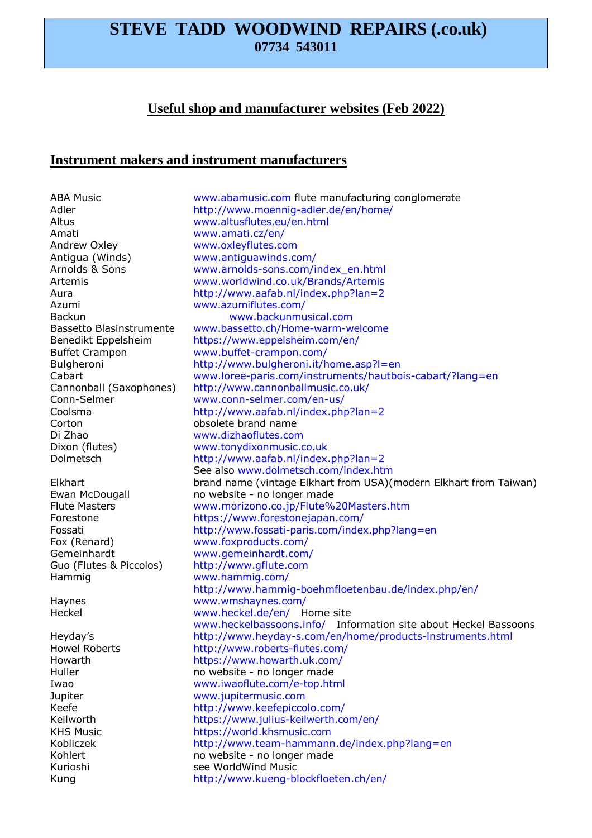# **STEVE TADD WOODWIND REPAIRS (.co.uk) 07734 543011**

# **Useful shop and manufacturer websites (Feb 2022)**

### **Instrument makers and instrument manufacturers**

ABA Music www.abamusic.com flute manufacturing conglomerate Adler http://www.moennig-adler.de/en/home/ Altus www.altusflutes.eu/en.html Amati www.amati.cz/en/ Andrew Oxley www.oxleyflutes.com Antigua (Winds) www.antiguawinds.com/ Azumi www.azumiflutes.com/ Di Zhao www.dizhaoflutes.com Fox (Renard) www.foxproducts.com/ Gemeinhardt www.gemeinhardt.com/ Guo (Flutes & Piccolos) http://www.gflute.com Hammig www.hammig.com/ Haynes www.wmshaynes.com/ Jupiter www.jupitermusic.com

Arnolds & Sons www.arnolds-sons.com/index\_en.html Artemis www.worldwind.co.uk/Brands/Artemis Aura http://www.aafab.nl/index.php?lan=2 Backun www.backunmusical.com Bassetto Blasinstrumente www.bassetto.ch/Home-warm-welcome Benedikt Eppelsheim https://www.eppelsheim.com/en/ Buffet Crampon www.buffet-crampon.com/ Bulgheroni http://www.bulgheroni.it/home.asp?l=en Cabart www.loree-paris.com/instruments/hautbois-cabart/?lang=en Cannonball (Saxophones) http://www.cannonballmusic.co.uk/ Conn-Selmer www.conn-selmer.com/en-us/ Coolsma http://www.aafab.nl/index.php?lan=2<br>Corton obsolete brand name obsolete brand name Dixon (flutes) www.tonydixonmusic.co.uk Dolmetsch http://www.aafab.nl/index.php?lan=2 See also www.dolmetsch.com/index.htm Elkhart brand name (vintage Elkhart from USA)(modern Elkhart from Taiwan) Ewan McDougall **no website - no longer made**<br>Flute Masters **no matter www.morizono.co.ip/Flute%** Flute Masters **match www.morizono.co.jp/Flute%20Masters.htm**<br>Forestone https://www.forestonejapan.com/ https://www.forestonejapan.com/ Fossati http://www.fossati-paris.com/index.php?lang=en http://www.hammig-boehmfloetenbau.de/index.php/en/ Heckel www.heckel.de/en/ Home site www.heckelbassoons.info/ Information site about Heckel Bassoons Heyday's http://www.heyday-s.com/en/home/products-instruments.html Howel Roberts http://www.roberts-flutes.com/ Howarth https://www.howarth.uk.com/ Huller **no website** - no longer made Iwao www.iwaoflute.com/e-top.html Keefe http://www.keefepiccolo.com/<br>Keilworth https://www.iulius-keilwerth.co https://www.julius-keilwerth.com/en/ KHS Music https://world.khsmusic.com Kobliczek http://www.team-hammann.de/index.php?lang=en Kohlert **no website** - no longer made Kurioshi see WorldWind Music Kung http://www.kueng-blockfloeten.ch/en/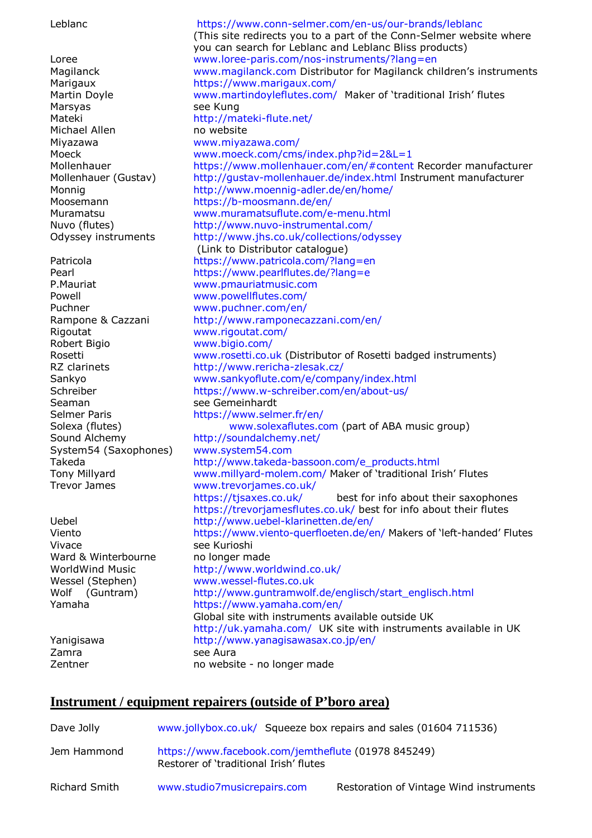Leblanc https://www.conn-selmer.com/en-us/our-brands/leblanc (This site redirects you to a part of the Conn-Selmer website where you can search for Leblanc and Leblanc Bliss products) Loree www.loree-paris.com/nos-instruments/?lang=en<br>Magilanck www.magilanck.com Distributor for Magilanck ch www.magilanck.com Distributor for Magilanck children's instruments Marigaux https://www.marigaux.com/ Martin Doyle **www.martindoyleflutes.com/ Maker of 'traditional Irish' flutes** Marsyas see Kung Mateki http://mateki-flute.net/ Michael Allen no website Miyazawa www.miyazawa.com/ Moeck www.moeck.com/cms/index.php?id=2&L=1 Mollenhauer https://www.mollenhauer.com/en/#content Recorder manufacturer Mollenhauer (Gustav) http://gustav-mollenhauer.de/index.html Instrument manufacturer Monnig http://www.moennig-adler.de/en/home/ Moosemann https://b-moosmann.de/en/ Muramatsu www.muramatsuflute.com/e-menu.html<br>Nuvo (flutes) http://www.nuvo-instrumental.com/ http://www.nuvo-instrumental.com/ Odyssey instruments http://www.jhs.co.uk/collections/odyssey (Link to Distributor catalogue) Patricola https://www.patricola.com/?lang=en<br>Pearl https://www.parlflutes.de/?lang=e Pearl **Pearl https://www.pearlflutes.de/?lang=e**<br>
P.Mauriat www.pmauriatmusic.com www.pmauriatmusic.com Powell www.powellflutes.com/ Puchner www.puchner.com/en/ Rampone & Cazzani http://www.ramponecazzani.com/en/ Rigoutat www.rigoutat.com/ Robert Bigio entranno www.bigio.com/<br>Rosetti www.rosetti.co.u www.rosetti.co.uk (Distributor of Rosetti badged instruments) RZ clarinets http://www.rericha-zlesak.cz/ Sankyo www.sankyoflute.com/e/company/index.html Schreiber https://www.w-schreiber.com/en/about-us/ Seaman see Gemeinhardt Selmer Paris https://www.selmer.fr/en/ Solexa (flutes) www.solexaflutes.com (part of ABA music group) Sound Alchemy http://soundalchemy.net/ System54 (Saxophones) www.system54.com Takeda http://www.takeda-bassoon.com/e\_products.html Tony Millyard www.millyard-molem.com/ Maker of 'traditional Irish' Flutes Trevor James www.trevorjames.co.uk/<br>https://tjsaxes.co.uk/ best for info about their saxophones https://trevorjamesflutes.co.uk/ best for info about their flutes<br>http://www.uebel-klarinetten.de/en/ Uebel http://www.uebel-klarinetten.de/en/ https://www.viento-querfloeten.de/en/ Makers of 'left-handed' Flutes Vivace see Kurioshi Ward & Winterbourne no longer made<br>WorldWind Music http://www.worldWind http://www.worldwind.co.uk/ Wessel (Stephen) www.wessel-flutes.co.uk<br>
Wolf (Guntram) http://www.guntramwolf Wolf (Guntram) http://www.guntramwolf.de/englisch/start\_englisch.html<br>Yamaha https://www.yamaha.com/en/ https://www.yamaha.com/en/ Global site with instruments available outside UK http://uk.yamaha.com/ UK site with instruments available in UK Yanigisawa http://www.yanagisawasax.co.jp/en/ Zamra see Aura Zentner more no website - no longer made

### **Instrument / equipment repairers (outside of P'boro area)**

| Dave Jolly    | www.jollybox.co.uk/ Squeeze box repairs and sales (01604 711536)                              |                                         |
|---------------|-----------------------------------------------------------------------------------------------|-----------------------------------------|
| Jem Hammond   | https://www.facebook.com/jemtheflute (01978 845249)<br>Restorer of 'traditional Irish' flutes |                                         |
| Richard Smith | www.studio7musicrepairs.com                                                                   | Restoration of Vintage Wind instruments |